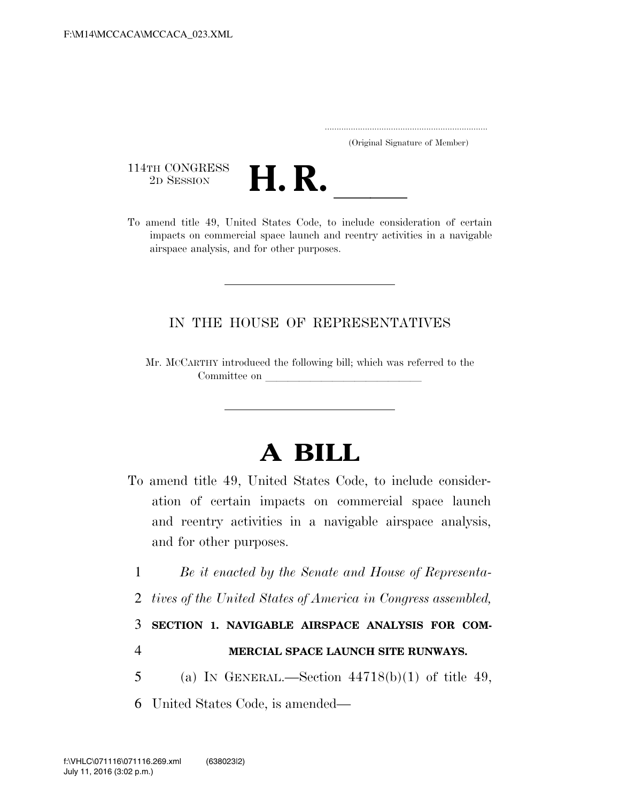..................................................................... (Original Signature of Member)

114TH CONGRESS<br>2D SESSION



114TH CONGRESS<br>
2D SESSION<br>
To amend title 49, United States Code, to include consideration of certain impacts on commercial space launch and reentry activities in a navigable airspace analysis, and for other purposes.

## IN THE HOUSE OF REPRESENTATIVES

Mr. MCCARTHY introduced the following bill; which was referred to the Committee on

## **A BILL**

- To amend title 49, United States Code, to include consideration of certain impacts on commercial space launch and reentry activities in a navigable airspace analysis, and for other purposes.
	- 1 *Be it enacted by the Senate and House of Representa-*
	- 2 *tives of the United States of America in Congress assembled,*

3 **SECTION 1. NAVIGABLE AIRSPACE ANALYSIS FOR COM-**

4 **MERCIAL SPACE LAUNCH SITE RUNWAYS.** 

5 (a) IN GENERAL.—Section  $44718(b)(1)$  of title 49,

6 United States Code, is amended—